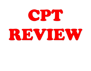## CDTP 1312 Y 102 Y